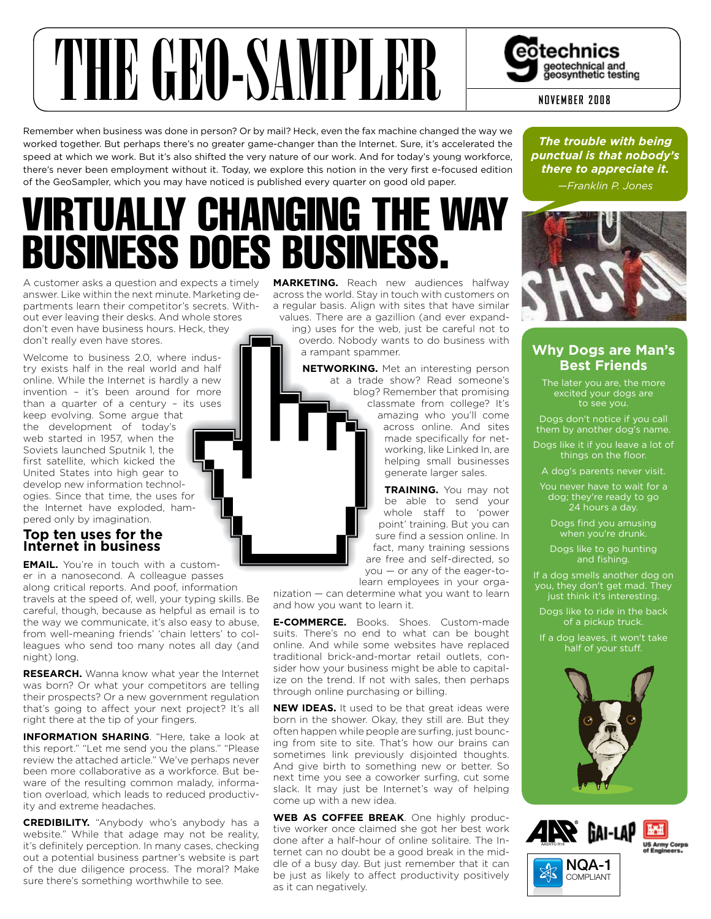

Remember when business was done in person? Or by mail? Heck, even the fax machine changed the way we worked together. But perhaps there's no greater game-changer than the Internet. Sure, it's accelerated the speed at which we work. But it's also shifted the very nature of our work. And for today's young workforce, there's never been employment without it. Today, we explore this notion in the very first e-focused edition of the GeoSampler, which you may have noticed is published every quarter on good old paper.

## IRTUALLY CHANGING THE WAY business does business.

A customer asks a question and expects a timely answer. Like within the next minute. Marketing departments learn their competitor's secrets. Without ever leaving their desks. And whole stores don't even have business hours. Heck, they don't really even have stores.

Welcome to business 2.0, where industry exists half in the real world and half online. While the Internet is hardly a new invention – it's been around for more than a quarter of a century – its uses

keep evolving. Some argue that the development of today's web started in 1957, when the Soviets launched Sputnik 1, the first satellite, which kicked the United States into high gear to develop new information technologies. Since that time, the uses for the Internet have exploded, hampered only by imagination.

#### **Top ten uses for the Internet in business**

**EmaIl.** You're in touch with a customer in a nanosecond. A colleague passes along critical reports. And poof, information

travels at the speed of, well, your typing skills. Be careful, though, because as helpful as email is to the way we communicate, it's also easy to abuse, from well-meaning friends' 'chain letters' to colleagues who send too many notes all day (and night) long.

**REsEaRch.** Wanna know what year the Internet was born? Or what your competitors are telling their prospects? Or a new government regulation that's going to affect your next project? It's all right there at the tip of your fingers.

**InfoRmaTIon shaRIng**. "Here, take a look at this report." "Let me send you the plans." "Please review the attached article." We've perhaps never been more collaborative as a workforce. But beware of the resulting common malady, information overload, which leads to reduced productivity and extreme headaches.

**cREdIbIlITy.** "Anybody who's anybody has a website." While that adage may not be reality, it's definitely perception. In many cases, checking out a potential business partner's website is part of the due diligence process. The moral? Make sure there's something worthwhile to see.

**maRkETIng.** Reach new audiences halfway across the world. Stay in touch with customers on a regular basis. Align with sites that have similar values. There are a gazillion (and ever expand-

ing) uses for the web, just be careful not to overdo. Nobody wants to do business with a rampant spammer.

**nETwoRkIng.** Met an interesting person at a trade show? Read someone's blog? Remember that promising classmate from college? It's amazing who you'll come across online. And sites made specifically for networking, like Linked In, are helping small businesses generate larger sales.

**TRaInIng.** You may not be able to send your whole staff to 'power point' training. But you can sure find a session online. In fact, many training sessions are free and self-directed, so you — or any of the eager-to-

learn employees in your organization — can determine what you want to learn

and how you want to learn it.

**E-commERcE.** Books. Shoes. Custom-made suits. There's no end to what can be bought online. And while some websites have replaced traditional brick-and-mortar retail outlets, consider how your business might be able to capitalize on the trend. If not with sales, then perhaps through online purchasing or billing.

**NEW IDEAS.** It used to be that great ideas were born in the shower. Okay, they still are. But they often happen while people are surfing, just bouncing from site to site. That's how our brains can sometimes link previously disjointed thoughts. And give birth to something new or better. So next time you see a coworker surfing, cut some slack. It may just be Internet's way of helping come up with a new idea.

**wEb as coffEE bREak**. One highly productive worker once claimed she got her best work done after a half-hour of online solitaire. The Internet can no doubt be a good break in the middle of a busy day. But just remember that it can be just as likely to affect productivity positively as it can negatively.

*The trouble with being punctual is that nobody's there to appreciate it. —Franklin P. Jones*



#### **Why Dogs are Man's best friends**

The later you are, the more excited your dogs are to see you.

Dogs don't notice if you call them by another dog's name.

Dogs like it if you leave a lot of things on the floor.

A dog's parents never visit.

You never have to wait for a dog; they're ready to go 24 hours a day.

Dogs find you amusing when you're drunk.

Dogs like to go hunting and fishing.

If a dog smells another dog on you, they don't get mad. They just think it's interesting.

Dogs like to ride in the back of a pickup truck.

If a dog leaves, it won't take half of your stuff.